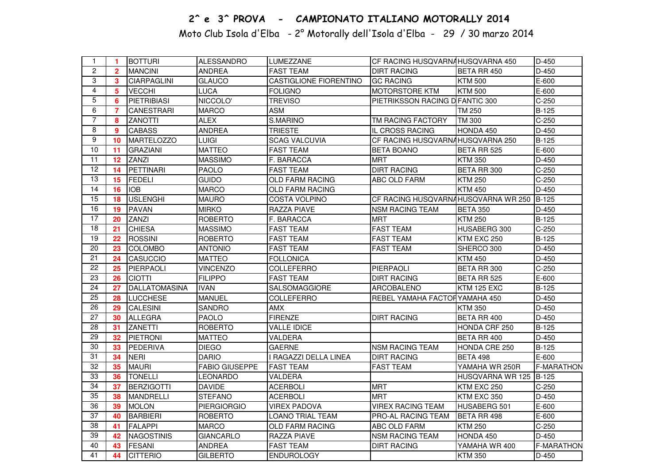## 2^ e 3^ PROVA - CAMPIONATO ITALIANO MOTORALLY 2014

Moto Club Isola d'Elba - 2° Motorally dell'Isola d'Elba - 29 / 30 marzo 2014

| $\mathbf{1}$    | $\blacktriangleleft$    | <b>BOTTURI</b>     | <b>ALESSANDRO</b>     | LUMEZZANE              | CF RACING HUSQVARNAHUSQVARNA 450          |                        | $D-450$           |
|-----------------|-------------------------|--------------------|-----------------------|------------------------|-------------------------------------------|------------------------|-------------------|
| $\overline{2}$  | $\overline{2}$          | <b>MANCINI</b>     | <b>ANDREA</b>         | <b>FAST TEAM</b>       | <b>DIRT RACING</b>                        | <b>BETA RR 450</b>     | D-450             |
| 3               | $\overline{\mathbf{3}}$ | <b>CIARPAGLINI</b> | <b>GLAUCO</b>         | CASTIGLIONE FIORENTINO | <b>GC RACING</b>                          | <b>KTM 500</b>         | E-600             |
| 4               | 5                       | <b>VECCHI</b>      | <b>LUCA</b>           | <b>FOLIGNO</b>         | MOTORSTORE KTM                            | <b>KTM 500</b>         | E-600             |
| $\overline{5}$  | 6                       | <b>PIETRIBIASI</b> | NICCOLO'              | <b>TREVISO</b>         | PIETRIKSSON RACING D FANTIC 300           |                        | $C-250$           |
| 6               | $\overline{7}$          | <b>CANESTRARI</b>  | <b>MARCO</b>          | <b>ASM</b>             |                                           | TM 250                 | $B-125$           |
| $\overline{7}$  | 8                       | <b>ZANOTTI</b>     | <b>ALEX</b>           | S.MARINO               | TM RACING FACTORY                         | TM 300                 | $C-250$           |
| 8               | 9                       | <b>CABASS</b>      | <b>ANDREA</b>         | <b>TRIESTE</b>         | IL CROSS RACING                           | HONDA 450              | $D-450$           |
| 9               | 10                      | MARTELOZZO         | <b>LUIGI</b>          | <b>SCAG VALCUVIA</b>   | CF RACING HUSQVARNAHUSQVARNA 250          |                        | <b>B-125</b>      |
| 10              | 11                      | <b>GRAZIANI</b>    | <b>MATTEO</b>         | <b>FAST TEAM</b>       | <b>BETA BOANO</b>                         | BETA RR 525            | E-600             |
| 11              | $12 \,$                 | <b>ZANZI</b>       | <b>MASSIMO</b>        | F. BARACCA             | <b>MRT</b>                                | <b>KTM 350</b>         | D-450             |
| $\overline{12}$ | 14                      | PETTINARI          | <b>PAOLO</b>          | <b>FAST TEAM</b>       | <b>DIRT RACING</b>                        | BETA RR 300            | $C-250$           |
| 13              | 15                      | <b>FEDELI</b>      | <b>GUIDO</b>          | <b>OLD FARM RACING</b> | ABC OLD FARM                              | <b>KTM 250</b>         | $C-250$           |
| 14              | 16                      | <b>IOB</b>         | <b>MARCO</b>          | <b>OLD FARM RACING</b> |                                           | <b>KTM 450</b>         | D-450             |
| 15              | 18                      | <b>USLENGHI</b>    | <b>MAURO</b>          | <b>COSTA VOLPINO</b>   | CF RACING HUSQVARNAHUSQVARNA WR 250 B-125 |                        |                   |
| 16              | 19                      | <b>PAVAN</b>       | <b>MIRKO</b>          | <b>RAZZA PIAVE</b>     | <b>NSM RACING TEAM</b>                    | <b>BETA 350</b>        | D-450             |
| $\overline{17}$ | 20                      | <b>ZANZI</b>       | <b>ROBERTO</b>        | F. BARACCA             | <b>MRT</b>                                | <b>KTM 250</b>         | $B-125$           |
| 18              | 21                      | <b>CHIESA</b>      | <b>MASSIMO</b>        | <b>FAST TEAM</b>       | <b>FAST TEAM</b>                          | HUSABERG 300           | $C-250$           |
| $\overline{19}$ | 22                      | <b>ROSSINI</b>     | <b>ROBERTO</b>        | <b>FAST TEAM</b>       | <b>FAST TEAM</b>                          | KTM EXC 250            | B-125             |
| 20              | 23                      | <b>COLOMBO</b>     | <b>ANTONIO</b>        | <b>FAST TEAM</b>       | <b>FAST TEAM</b>                          | SHERCO 300             | D-450             |
| $\overline{21}$ | 24                      | CASUCCIO           | <b>MATTEO</b>         | <b>FOLLONICA</b>       |                                           | <b>KTM 450</b>         | D-450             |
| $\overline{22}$ | 25                      | PIERPAOLI          | <b>VINCENZO</b>       | <b>COLLEFERRO</b>      | PIERPAOLI                                 | BETA RR 300            | $C-250$           |
| 23              | 26                      | <b>CIOTTI</b>      | <b>FILIPPO</b>        | <b>FAST TEAM</b>       | <b>DIRT RACING</b>                        | BETA RR 525            | $E-600$           |
| 24              | 27                      | DALLATOMASINA      | <b>IVAN</b>           | SALSOMAGGIORE          | <b>ARCOBALENO</b>                         | KTM 125 EXC            | <b>B-125</b>      |
| $\overline{25}$ | 28                      | <b>LUCCHESE</b>    | <b>MANUEL</b>         | <b>COLLEFERRO</b>      | REBEL YAMAHA FACTORYAMAHA 450             |                        | D-450             |
| 26              | 29                      | CALESINI           | <b>SANDRO</b>         | <b>AMX</b>             |                                           | <b>KTM 350</b>         | D-450             |
| 27              | 30                      | <b>ALLEGRA</b>     | <b>PAOLO</b>          | <b>FIRENZE</b>         | <b>DIRT RACING</b>                        | BETA RR 400            | D-450             |
| $\overline{28}$ | 31                      | <b>ZANETTI</b>     | <b>ROBERTO</b>        | <b>VALLE IDICE</b>     |                                           | HONDA CRF 250          | <b>B-125</b>      |
| 29              | 32                      | PIETRONI           | <b>MATTEO</b>         | VALDERA                |                                           | BETA RR 400            | $D-450$           |
| 30              | 33                      | <b>PEDERIVA</b>    | <b>DIEGO</b>          | <b>GAERNE</b>          | <b>NSM RACING TEAM</b>                    | HONDA CRE 250          | <b>B-125</b>      |
| 31              | 34                      | <b>NERI</b>        | <b>DARIO</b>          | I RAGAZZI DELLA LINEA  | <b>DIRT RACING</b>                        | <b>BETA 498</b>        | E-600             |
| 32              | 35                      | <b>MAURI</b>       | <b>FABIO GIUSEPPE</b> | <b>FAST TEAM</b>       | <b>FAST TEAM</b>                          | YAMAHA WR 250R         | <b>F-MARATHON</b> |
| 33              | 36                      | <b>TONELLI</b>     | <b>LEONARDO</b>       | VALDERA                |                                           | HUSQVARNA WR 125 B-125 |                   |
| 34              | 37                      | <b>BERZIGOTTI</b>  | <b>DAVIDE</b>         | <b>ACERBOLI</b>        | <b>MRT</b>                                | KTM EXC 250            | $C-250$           |
| 35              | 38                      | <b>MANDRELLI</b>   | <b>STEFANO</b>        | <b>ACERBOLI</b>        | <b>MRT</b>                                | KTM EXC 350            | D-450             |
| $\overline{36}$ | 39                      | <b>MOLON</b>       | <b>PIERGIORGIO</b>    | <b>VIREX PADOVA</b>    | <b>VIREX RACING TEAM</b>                  | HUSABERG 501           | E-600             |
| $\overline{37}$ | 40                      | <b>BARBIERI</b>    | <b>ROBERTO</b>        | LOANO TRIAL TEAM       | PRO-AL RACING TEAM                        | BETA RR 498            | E-600             |
| 38              | 41                      | <b>FALAPPI</b>     | <b>MARCO</b>          | OLD FARM RACING        | ABC OLD FARM                              | <b>KTM 250</b>         | $C-250$           |
| 39              | 42                      | <b>NAGOSTINIS</b>  | <b>GIANCARLO</b>      | <b>RAZZA PIAVE</b>     | <b>NSM RACING TEAM</b>                    | HONDA 450              | $D-450$           |
| 40              | 43                      | <b>FESANI</b>      | <b>ANDREA</b>         | <b>FAST TEAM</b>       | <b>DIRT RACING</b>                        | YAMAHA WR 400          | <b>F-MARATHON</b> |
| 41              | 44                      | <b>CITTERIO</b>    | <b>GILBERTO</b>       | <b>ENDUROLOGY</b>      |                                           | <b>KTM 350</b>         | D-450             |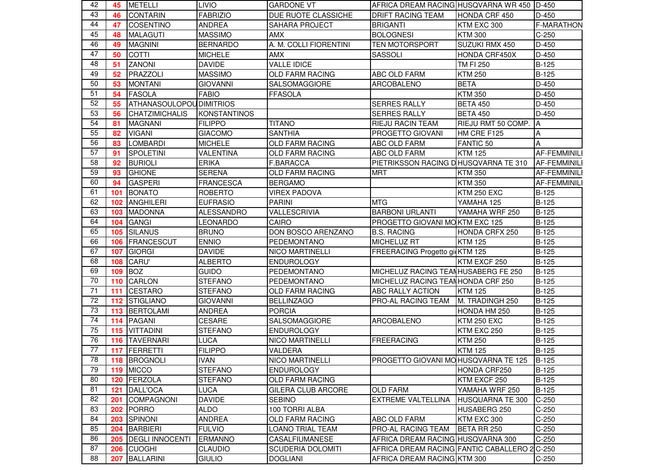| 42              | 45  | <b>METELLI</b>                 | <b>LIVIO</b>        | <b>GARDONE VT</b>         | AFRICA DREAM RACING HUSQVARNA WR 450 D-450   |                       |                     |
|-----------------|-----|--------------------------------|---------------------|---------------------------|----------------------------------------------|-----------------------|---------------------|
| 43              | 46  | <b>CONTARIN</b>                | <b>FABRIZIO</b>     | DUE RUOTE CLASSICHE       | <b>DRIFT RACING TEAM</b>                     | HONDA CRF 450         | $D-450$             |
| 44              | 47  | <b>COSENTINO</b>               | <b>ANDREA</b>       | SAHARA PROJECT            | <b>BRIGANTI</b>                              | KTM EXC 300           | <b>F-MARATHON</b>   |
| 45              | 48  | <b>MALAGUTI</b>                | <b>MASSIMO</b>      | <b>AMX</b>                | <b>BOLOGNESI</b>                             | <b>KTM 300</b>        | $C-250$             |
| 46              | 49  | <b>MAGNINI</b>                 | <b>BERNARDO</b>     | A. M. COLLI FIORENTINI    | <b>TEN MOTORSPORT</b>                        | SUZUKI RMX 450        | D-450               |
| 47              | 50  | <b>COTTI</b>                   | <b>MICHELE</b>      | <b>AMX</b>                | SASSOLI                                      | HONDA CRF450X         | D-450               |
| 48              | 51  | <b>ZANONI</b>                  | <b>DAVIDE</b>       | <b>VALLE IDICE</b>        |                                              | <b>TM FI 250</b>      | B-125               |
| 49              | 52  | PRAZZOLI                       | <b>MASSIMO</b>      | OLD FARM RACING           | ABC OLD FARM                                 | <b>KTM 250</b>        | B-125               |
| 50              | 53  | IMONTANI                       | <b>GIOVANNI</b>     | <b>SALSOMAGGIORE</b>      | ARCOBALENO                                   | <b>BETA</b>           | D-450               |
| 51              | 54  | <b>FASOLA</b>                  | <b>FABIO</b>        | <b>FFASOLA</b>            |                                              | <b>KTM 350</b>        | D-450               |
| 52              | 55  | <b>ATHANASOULOPOUDIMITRIOS</b> |                     |                           | <b>SERRES RALLY</b>                          | <b>BETA 450</b>       | D-450               |
| 53              | 56  | <b>CHATZIMICHALIS</b>          | <b>KONSTANTINOS</b> |                           | <b>SERRES RALLY</b>                          | <b>BETA 450</b>       | $D-450$             |
| 54              | 81  | <b>MAGNANI</b>                 | <b>FILIPPO</b>      | <b>TITANO</b>             | RIEJU RACIN TEAM                             | RIEJU RMT 50 COMP.    | ΙA                  |
| 55              | 82  | <b>VIGANI</b>                  | <b>GIACOMO</b>      | <b>SANTHIA</b>            | PROGETTO GIOVANI                             | HM CRE F125           | A                   |
| 56              | 83  | <b>LOMBARDI</b>                | <b>MICHELE</b>      | <b>OLD FARM RACING</b>    | ABC OLD FARM                                 | <b>FANTIC 50</b>      | A                   |
| 57              | 91  | <b>SPOLETINI</b>               | VALENTINA           | <b>OLD FARM RACING</b>    | ABC OLD FARM                                 | <b>KTM 125</b>        | <b>AF-FEMMINILI</b> |
| 58              | 92  | <b>BURIOLI</b>                 | <b>ERIKA</b>        | F.BARACCA                 | PIETRIKSSON RACING DHUSQVARNA TE 310         |                       | <b>AF-FEMMINILI</b> |
| 59              | 93  | <b>GHIONE</b>                  | <b>SERENA</b>       | <b>OLD FARM RACING</b>    | <b>MRT</b>                                   | <b>KTM 350</b>        | <b>AF-FEMMINILI</b> |
| 60              | 94  | <b>GASPERI</b>                 | <b>FRANCESCA</b>    | <b>BERGAMO</b>            |                                              | <b>KTM 350</b>        | <b>AF-FEMMINILI</b> |
| 61              | 101 | <b>BONATO</b>                  | <b>ROBERTO</b>      | <b>VIREX PADOVA</b>       |                                              | <b>KTM 250 EXC</b>    | B-125               |
| 62              | 102 | <b>ANGHILERI</b>               | <b>EUFRASIO</b>     | <b>PARINI</b>             | <b>MTG</b>                                   | YAMAHA 125            | $B-125$             |
| 63              | 103 | <b>MADONNA</b>                 | <b>ALESSANDRO</b>   | VALLESCRIVIA              | <b>BARBONI URLANTI</b>                       | YAMAHA WRF 250        | $B-125$             |
| 64              | 104 | <b>GANGI</b>                   | <b>LEONARDO</b>     | CAIRO                     | PROGETTO GIOVANI MOKTM EXC 125               |                       | <b>B-125</b>        |
| 65              | 105 | <b>SILANUS</b>                 | <b>BRUNO</b>        | DON BOSCO ARENZANO        | <b>B.S. RACING</b>                           | <b>HONDA CRFX 250</b> | $B-125$             |
| 66              | 106 | <b>FRANCESCUT</b>              | <b>ENNIO</b>        | PEDEMONTANO               | MICHELUZ RT                                  | <b>KTM 125</b>        | $B-125$             |
| 67              | 107 | <b>GIORGI</b>                  | <b>DAVIDE</b>       | <b>NICO MARTINELLI</b>    | FREERACING Progetto gi KTM 125               |                       | <b>B-125</b>        |
| 68              | 108 | CARU'                          | <b>ALBERTO</b>      | <b>ENDUROLOGY</b>         |                                              | KTM EXCF 250          | $B-125$             |
| 69              | 109 | <b>BOZ</b>                     | <b>GUIDO</b>        | PEDEMONTANO               | MICHELUZ RACING TEAN HUSABERG FE 250         |                       | <b>B-125</b>        |
| 70              | 110 | <b>CARLON</b>                  | <b>STEFANO</b>      | PEDEMONTANO               | MICHELUZ RACING TEANHONDA CRF 250            |                       | $B-125$             |
| 71              | 111 | <b>CESTARO</b>                 | <b>STEFANO</b>      | <b>OLD FARM RACING</b>    | ABC RALLY ACTION                             | <b>KTM 125</b>        | B-125               |
| 72              | 112 | <b>STIGLIANO</b>               | <b>GIOVANNI</b>     | <b>BELLINZAGO</b>         | PRO-AL RACING TEAM                           | M. TRADINGH 250       | B-125               |
| 73              | 113 | <b>BERTOLAMI</b>               | <b>ANDREA</b>       | <b>PORCIA</b>             |                                              | HONDA HM 250          | B-125               |
| 74              | 114 | <b>PAGANI</b>                  | CESARE              | <b>SALSOMAGGIORE</b>      | <b>ARCOBALENO</b>                            | <b>KTM 250 EXC</b>    | B-125               |
| 75              | 115 | <b>VITTADINI</b>               | <b>STEFANO</b>      | <b>ENDUROLOGY</b>         |                                              | KTM EXC 250           | $B-125$             |
| $\overline{76}$ | 116 | <b>TAVERNARI</b>               | <b>LUCA</b>         | <b>NICO MARTINELLI</b>    | <b>FREERACING</b>                            | <b>KTM 250</b>        | B-125               |
| 77              | 117 | FERRETTI                       | <b>FILIPPO</b>      | VALDERA                   |                                              | <b>KTM 125</b>        | <b>B-125</b>        |
| 78              |     | 118 BROGNOLI                   | <b>IVAN</b>         | <b>NICO MARTINELLI</b>    | PROGETTO GIOVANI MO HUSQVARNA TE 125         |                       | <b>B-125</b>        |
| 79              | 119 | <b>MICCO</b>                   | <b>STEFANO</b>      | <b>ENDUROLOGY</b>         |                                              | HONDA CRF250          | $B-125$             |
| 80              | 120 | FERZOLA                        | <b>STEFANO</b>      | OLD FARM RACING           |                                              | KTM EXCF 250          | $B-125$             |
| 81              | 121 | <b>DALL'OCA</b>                | LUCA                | <b>GILERA CLUB ARCORE</b> | <b>OLD FARM</b>                              | YAMAHA WRF 250        | $B-125$             |
| 82              | 201 | <b>COMPAGNONI</b>              | <b>DAVIDE</b>       | <b>SEBINO</b>             | <b>EXTREME VALTELLINA</b>                    | HUSQUARNA TE 300      | $C-250$             |
| 83              | 202 | <b>PORRO</b>                   | <b>ALDO</b>         | 100 TORRI ALBA            |                                              | HUSABERG 250          | $C-250$             |
| 84              | 203 | SPINONI                        | <b>ANDREA</b>       | <b>OLD FARM RACING</b>    | ABC OLD FARM                                 | KTM EXC 300           | $C-250$             |
| 85              | 204 | <b>BARBIERI</b>                | <b>FULVIO</b>       | LOANO TRIAL TEAM          | PRO-AL RACING TEAM                           | BETA RR 250           | $C-250$             |
| 86              | 205 | <b>DEGLI INNOCENTI</b>         | <b>ERMANNO</b>      | CASALFIUMANESE            | AFRICA DREAM RACING HUSQVARNA 300            |                       | $C-250$             |
| 87              | 206 | <b>CUOGHI</b>                  | <b>CLAUDIO</b>      | <b>SCUDERIA DOLOMITI</b>  | AFRICA DREAM RACING FANTIC CABALLERO 2 C-250 |                       |                     |
| 88              | 207 | <b>BALLARINI</b>               | <b>GIULIO</b>       | <b>DOGLIANI</b>           | AFRICA DREAM RACING KTM 300                  |                       | $C-250$             |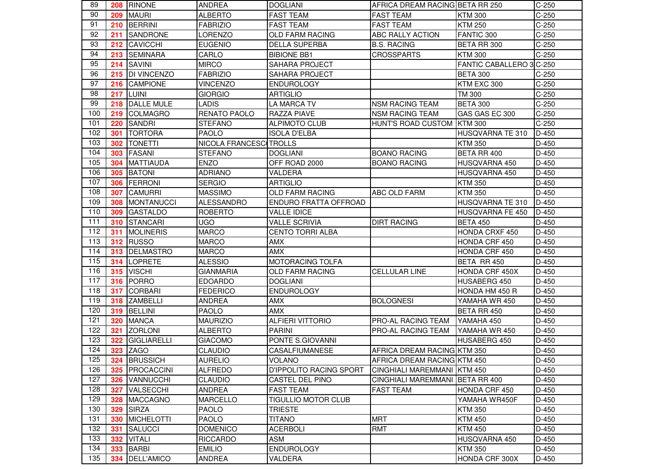| 89  |     | 208 RINONE         | <b>ANDREA</b>          | <b>DOGLIANI</b>                | AFRICA DREAM RACING BETA RR 250 |                          | $C-250$ |
|-----|-----|--------------------|------------------------|--------------------------------|---------------------------------|--------------------------|---------|
| 90  | 209 | <b>MAURI</b>       | <b>ALBERTO</b>         | <b>FAST TEAM</b>               | <b>FAST TEAM</b>                | <b>KTM300</b>            | $C-250$ |
| 91  | 210 | <b>BERRINI</b>     | <b>FABRIZIO</b>        | <b>FAST TEAM</b>               | <b>FAST TEAM</b>                | <b>KTM 250</b>           | $C-250$ |
| 92  | 211 | <b>SANDRONE</b>    | LORENZO                | <b>OLD FARM RACING</b>         | ABC RALLY ACTION                | FANTIC 300               | $C-250$ |
| 93  | 212 | <b>CAVICCHI</b>    | <b>EUGENIO</b>         | <b>DELLA SUPERBA</b>           | <b>B.S. RACING</b>              | BETA RR 300              | $C-250$ |
| 94  | 213 | <b>SEMINARA</b>    | CARLO                  | <b>BIBIONE BB1</b>             | <b>CROSSPARTS</b>               | <b>KTM 300</b>           | $C-250$ |
| 95  | 214 | <b>SAVINI</b>      | <b>MIRCO</b>           | <b>SAHARA PROJECT</b>          |                                 | FANTIC CABALLERO 3 C-250 |         |
| 96  | 215 | <b>DI VINCENZO</b> | <b>FABRIZIO</b>        | <b>SAHARA PROJECT</b>          |                                 | <b>BETA 300</b>          | $C-250$ |
| 97  | 216 | <b>CAMPIONE</b>    | <b>VINCENZO</b>        | <b>ENDUROLOGY</b>              |                                 | KTM EXC 300              | $C-250$ |
| 98  | 217 | <b>LUINI</b>       | <b>GIORGIO</b>         | <b>ARTIGLIO</b>                |                                 | <b>TM 300</b>            | $C-250$ |
| 99  | 218 | DALLE MULE         | <b>LADIS</b>           | <b>LA MARCA TV</b>             | <b>NSM RACING TEAM</b>          | <b>BETA 300</b>          | $C-250$ |
| 100 | 219 | <b>COLMAGRO</b>    | RENATO PAOLO           | <b>RAZZA PIAVE</b>             | <b>NSM RACING TEAM</b>          | GAS GAS EC 300           | $C-250$ |
| 101 | 220 | <b>SANDRI</b>      | <b>STEFANO</b>         | <b>ALPIMOTO CLUB</b>           | <b>HUNT'S ROAD CUSTOM</b>       | <b>KTM300</b>            | $C-250$ |
| 102 | 301 | <b>TORTORA</b>     | <b>PAOLO</b>           | <b>ISOLA D'ELBA</b>            |                                 | HUSQVARNA TE 310         | $D-450$ |
| 103 | 302 | <b>TONETTI</b>     | NICOLA FRANCESC TROLLS |                                |                                 | <b>KTM 350</b>           | D-450   |
| 104 | 303 | <b>FASANI</b>      | <b>STEFANO</b>         | <b>DOGLIANI</b>                | <b>BOANO RACING</b>             | BETA RR 400              | D-450   |
| 105 | 304 | <b>MATTIAUDA</b>   | <b>ENZO</b>            | OFF ROAD 2000                  | <b>BOANO RACING</b>             | HUSQVARNA 450            | D-450   |
| 106 | 305 | <b>BATONI</b>      | <b>ADRIANO</b>         | VALDERA                        |                                 | HUSQVARNA 450            | D-450   |
| 107 | 306 | <b>FERRONI</b>     | <b>SERGIO</b>          | <b>ARTIGLIO</b>                |                                 | <b>KTM 350</b>           | D-450   |
| 108 | 307 | <b>CAMURRI</b>     | <b>MASSIMO</b>         | <b>OLD FARM RACING</b>         | ABC OLD FARM                    | <b>KTM 350</b>           | D-450   |
| 109 | 308 | <b>MONTANUCCI</b>  | <b>ALESSANDRO</b>      | <b>ENDURO FRATTA OFFROAD</b>   |                                 | HUSQVARNA TE 310         | D-450   |
| 110 | 309 | <b>GASTALDO</b>    | <b>ROBERTO</b>         | <b>VALLE IDICE</b>             |                                 | HUSQVARNA FE 450         | $D-450$ |
| 111 | 310 | <b>STANCARI</b>    | <b>UGO</b>             | <b>VALLE SCRIVIA</b>           | <b>DIRT RACING</b>              | <b>BETA 450</b>          | D-450   |
| 112 | 311 | <b>MOLINERIS</b>   | <b>MARCO</b>           | <b>CENTO TORRI ALBA</b>        |                                 | HONDA CRXF 450           | D-450   |
| 113 | 312 | RUSSO              | <b>MARCO</b>           | <b>AMX</b>                     |                                 | HONDA CRF 450            | D-450   |
| 114 | 313 | <b>DELMASTRO</b>   | <b>MARCO</b>           | <b>AMX</b>                     |                                 | HONDA CRF 450            | D-450   |
| 115 | 314 | LOPRETE            | <b>ALESSIO</b>         | <b>MOTORACING TOLFA</b>        |                                 | BETA RR 450              | D-450   |
| 116 |     | 315 VISCHI         | <b>GIANMARIA</b>       | OLD FARM RACING                | <b>CELLULAR LINE</b>            | HONDA CRF 450X           | D-450   |
| 117 | 316 | PORRO              | <b>EDOARDO</b>         | <b>DOGLIANI</b>                |                                 | HUSABERG 450             | D-450   |
| 118 | 317 | <b>CORBARI</b>     | <b>FEDERICO</b>        | <b>ENDUROLOGY</b>              |                                 | HONDA HM 450 R           | D-450   |
| 119 | 318 | <b>ZAMBELLI</b>    | <b>ANDREA</b>          | <b>AMX</b>                     | <b>BOLOGNESI</b>                | YAMAHA WR 450            | D-450   |
| 120 | 319 | <b>BELLINI</b>     | <b>PAOLO</b>           | <b>AMX</b>                     |                                 | BETA RR 450              | D-450   |
| 121 | 320 | <b>MANCA</b>       | <b>MAURIZIO</b>        | <b>ALFIERI VITTORIO</b>        | PRO-AL RACING TEAM              | YAMAHA 450               | D-450   |
| 122 | 321 | <b>ZORLONI</b>     | <b>ALBERTO</b>         | <b>PARINI</b>                  | PRO-AL RACING TEAM              | YAMAHA WR 450            | D-450   |
| 123 | 322 | <b>GIGLIARELLI</b> | <b>GIACOMO</b>         | PONTE S.GIOVANNI               |                                 | HUSABERG 450             | D-450   |
| 124 | 323 | <b>ZAGO</b>        | <b>CLAUDIO</b>         | CASALFIUMANESE                 | AFRICA DREAM RACING KTM 350     |                          | D-450   |
| 125 |     | 324 BRUSSICH       | <b>AURELIO</b>         | <b>VOLANO</b>                  | AFRICA DREAM RACING KTM 450     |                          | D-450   |
| 126 | 325 | PROCACCINI         | <b>ALFREDO</b>         | <b>D'IPPOLITO RACING SPORT</b> | CINGHIALI MAREMMANI KTM 450     |                          | D-450   |
| 127 | 326 | <b>VANNUCCHI</b>   | <b>CLAUDIO</b>         | CASTEL DEL PINO                | CINGHIALI MAREMMANI BETA RR 400 |                          | D-450   |
| 128 | 327 | VALSECCHI          | ANDREA                 | <b>FAST TEAM</b>               | <b>FAST TEAM</b>                | HONDA CRF 450            | D-450   |
| 129 | 328 | <b>MACCAGNO</b>    | <b>MARCELLO</b>        | TIGULLIO MOTOR CLUB            |                                 | YAMAHA WR450F            | D-450   |
| 130 | 329 | <b>SIRZA</b>       | <b>PAOLO</b>           | <b>TRIESTE</b>                 |                                 | <b>KTM 350</b>           | D-450   |
| 131 | 330 | <b>MICHELOTTI</b>  | PAOLO                  | <b>TITANO</b>                  | <b>MRT</b>                      | <b>KTM 450</b>           | $D-450$ |
| 132 | 331 | <b>SALUCCI</b>     | <b>DOMENICO</b>        | <b>ACERBOLI</b>                | <b>RMT</b>                      | <b>KTM 450</b>           | $D-450$ |
| 133 | 332 | <b>VITALI</b>      | <b>RICCARDO</b>        | ASM                            |                                 | HUSQVARNA 450            | D-450   |
| 134 | 333 | BARBI              | <b>EMILIO</b>          | <b>ENDUROLOGY</b>              |                                 | <b>KTM 350</b>           | D-450   |
| 135 |     | 334 DELL'AMICO     | <b>ANDREA</b>          | VALDERA                        |                                 | HONDA CRF 300X           | D-450   |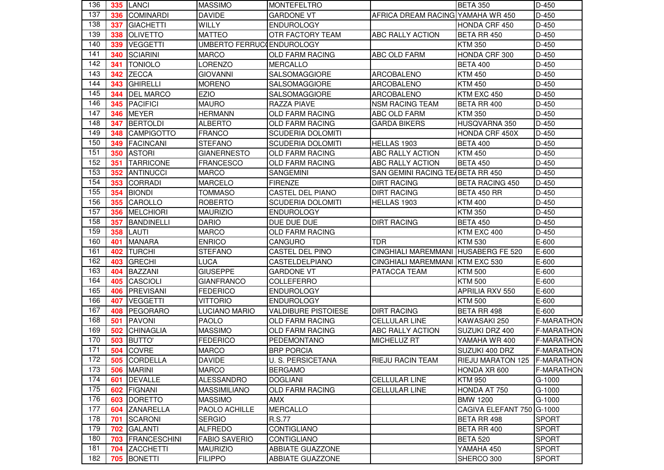| 136 |     | <b>335 LANCI</b>    | <b>MASSIMO</b>            | <b>MONTEFELTRO</b>         |                                     | BETA 350                       | D-450             |
|-----|-----|---------------------|---------------------------|----------------------------|-------------------------------------|--------------------------------|-------------------|
| 137 | 336 | <b>COMINARDI</b>    | <b>DAVIDE</b>             | <b>GARDONE VT</b>          | AFRICA DREAM RACING YAMAHA WR 450   |                                | D-450             |
| 138 | 337 | <b>GIACHETTI</b>    | WILLY                     | <b>ENDUROLOGY</b>          |                                     | <b>HONDA CRF 450</b>           | D-450             |
| 139 | 338 | OLIVETTO            | <b>MATTEO</b>             | OTR FACTORY TEAM           | ABC RALLY ACTION                    | <b>BETA RR 450</b>             | D-450             |
| 140 | 339 | <b>VEGGETTI</b>     | UMBERTO FERRUC ENDUROLOGY |                            |                                     | <b>KTM 350</b>                 | D-450             |
| 141 | 340 | <b>SCIARINI</b>     | <b>MARCO</b>              | <b>OLD FARM RACING</b>     | <b>ABC OLD FARM</b>                 | HONDA CRF 300                  | D-450             |
| 142 | 341 | <b>TONIOLO</b>      | LORENZO                   | <b>MERCALLO</b>            |                                     | <b>BETA 400</b>                | D-450             |
| 143 | 342 | <b>ZECCA</b>        | <b>GIOVANNI</b>           | SALSOMAGGIORE              | ARCOBALENO                          | <b>KTM 450</b>                 | D-450             |
| 144 | 343 | <b>GHIRELLI</b>     | <b>MORENO</b>             | SALSOMAGGIORE              | <b>ARCOBALENO</b>                   | <b>KTM 450</b>                 | D-450             |
| 145 | 344 | <b>DEL MARCO</b>    | <b>EZIO</b>               | SALSOMAGGIORE              | <b>ARCOBALENO</b>                   | KTM EXC 450                    | D-450             |
| 146 | 345 | <b>PACIFICI</b>     | <b>MAURO</b>              | <b>RAZZA PIAVE</b>         | <b>NSM RACING TEAM</b>              | BETA RR 400                    | D-450             |
| 147 | 346 | <b>MEYER</b>        | <b>HERMANN</b>            | <b>OLD FARM RACING</b>     | <b>ABC OLD FARM</b>                 | <b>KTM 350</b>                 | D-450             |
| 148 | 347 | <b>BERTOLDI</b>     | <b>ALBERTO</b>            | <b>OLD FARM RACING</b>     | <b>GARDA BIKERS</b>                 | HUSQVARNA 350                  | D-450             |
| 149 | 348 | <b>CAMPIGOTTO</b>   | <b>FRANCO</b>             | <b>SCUDERIA DOLOMITI</b>   |                                     | HONDA CRF 450X                 | $D-450$           |
| 150 | 349 | <b>FACINCANI</b>    | <b>STEFANO</b>            | <b>SCUDERIA DOLOMITI</b>   | HELLAS 1903                         | <b>BETA 400</b>                | D-450             |
| 151 | 350 | <b>ASTORI</b>       | <b>GIANERNESTO</b>        | <b>OLD FARM RACING</b>     | <b>ABC RALLY ACTION</b>             | <b>KTM 450</b>                 | D-450             |
| 152 | 351 | <b>TARRICONE</b>    | <b>FRANCESCO</b>          | <b>OLD FARM RACING</b>     | <b>ABC RALLY ACTION</b>             | <b>BETA 450</b>                | D-450             |
| 153 | 352 | <b>ANTINUCCI</b>    | <b>MARCO</b>              | <b>SANGEMINI</b>           | SAN GEMINI RACING TEABETA RR 450    |                                | D-450             |
| 154 | 353 | <b>CORRADI</b>      | <b>MARCELO</b>            | <b>FIRENZE</b>             | <b>DIRT RACING</b>                  | <b>BETA RACING 450</b>         | D-450             |
| 155 | 354 | <b>BIONDI</b>       | TOMMASO                   | CASTEL DEL PIANO           | <b>DIRT RACING</b>                  | BETA 450 RR                    | D-450             |
| 156 | 355 | <b>CAROLLO</b>      | <b>ROBERTO</b>            | <b>SCUDERIA DOLOMITI</b>   | HELLAS 1903                         | <b>KTM 400</b>                 | D-450             |
| 157 | 356 | <b>MELCHIORI</b>    | <b>MAURIZIO</b>           | <b>ENDUROLOGY</b>          |                                     | <b>KTM 350</b>                 | D-450             |
| 158 | 357 | <b>BANDINELLI</b>   | <b>DARIO</b>              | DUE DUE DUE                | <b>DIRT RACING</b>                  | <b>BETA 450</b>                | D-450             |
| 159 | 358 | LAUTI               | <b>MARCO</b>              | <b>OLD FARM RACING</b>     |                                     | KTM EXC 400                    | D-450             |
| 160 | 401 | <b>MANARA</b>       | <b>ENRICO</b>             | <b>CANGURO</b>             | <b>TDR</b>                          | <b>KTM 530</b>                 | E-600             |
| 161 | 402 | <b>TURCHI</b>       | <b>STEFANO</b>            | CASTEL DEL PINO            | CINGHIALI MAREMMANI HUSABERG FE 520 |                                | E-600             |
| 162 | 403 | <b>GRECHI</b>       | <b>LUCA</b>               | CASTELDELPIANO             | CINGHIALI MAREMMANI KTM EXC 530     |                                | $E-600$           |
| 163 | 404 | <b>BAZZANI</b>      | <b>GIUSEPPE</b>           | <b>GARDONE VT</b>          | PATACCA TEAM                        | <b>KTM 500</b>                 | E-600             |
| 164 | 405 | <b>CASCIOLI</b>     | <b>GIANFRANCO</b>         | COLLEFERRO                 |                                     | <b>KTM 500</b>                 | E-600             |
| 165 | 406 | PREVISANI           | <b>FEDERICO</b>           | <b>ENDUROLOGY</b>          |                                     | APRILIA RXV 550                | E-600             |
| 166 | 407 | <b>VEGGETTI</b>     | <b>VITTORIO</b>           | <b>ENDUROLOGY</b>          |                                     | <b>KTM 500</b>                 | E-600             |
| 167 | 408 | PEGORARO            | <b>LUCIANO MARIO</b>      | <b>VALDIBURE PISTOIESE</b> | <b>DIRT RACING</b>                  | BETA RR 498                    | $E-600$           |
| 168 | 501 | <b>PAVONI</b>       | <b>PAOLO</b>              | <b>OLD FARM RACING</b>     | <b>CELLULAR LINE</b>                | KAWASAKI 250                   | <b>F-MARATHON</b> |
| 169 | 502 | <b>CHINAGLIA</b>    | <b>MASSIMO</b>            | <b>OLD FARM RACING</b>     | ABC RALLY ACTION                    | SUZUKI DRZ 400                 | <b>F-MARATHON</b> |
| 170 | 503 | <b>BUTTO'</b>       | <b>FEDERICO</b>           | PEDEMONTANO                | <b>MICHELUZ RT</b>                  | YAMAHA WR 400                  | <b>F-MARATHON</b> |
| 171 | 504 | <b>COVRE</b>        | <b>MARCO</b>              | <b>BRP PORCIA</b>          |                                     | SUZUKI 400 DRZ                 | <b>F-MARATHON</b> |
| 172 |     | 505 CORDELLA        | <b>DAVIDE</b>             | U. S. PERSICETANA          | <b>RIEJU RACIN TEAM</b>             | RIEJU MARATON 125   F-MARATHON |                   |
| 173 |     | 506 MARINI          | <b>MARCO</b>              | <b>BERGAMO</b>             |                                     | HONDA XR 600                   | <b>F-MARATHON</b> |
| 174 | 601 | <b>DEVALLE</b>      | <b>ALESSANDRO</b>         | <b>DOGLIANI</b>            | CELLULAR LINE                       | <b>KTM 950</b>                 | G-1000            |
| 175 | 602 | <b>FIGNANI</b>      | <b>MASSIMILIANO</b>       | OLD FARM RACING            | <b>CELLULAR LINE</b>                | HONDA AT 750                   | $G-1000$          |
| 176 | 603 | <b>DORETTO</b>      | <b>MASSIMO</b>            | AMX                        |                                     | <b>BMW 1200</b>                | $G-1000$          |
| 177 |     | 604 ZANARELLA       | PAOLO ACHILLE             | <b>MERCALLO</b>            |                                     | CAGIVA ELEFANT 750 G-1000      |                   |
| 178 | 701 | <b>SCARONI</b>      | <b>SERGIO</b>             | R.S.77                     |                                     | BETA RR 498                    | <b>SPORT</b>      |
| 179 | 702 | <b>GALANTI</b>      | <b>ALFREDO</b>            | CONTIGLIANO                |                                     | BETA RR 400                    | <b>SPORT</b>      |
| 180 | 703 | <b>FRANCESCHINI</b> | <b>FABIO SAVERIO</b>      | <b>CONTIGLIANO</b>         |                                     | <b>BETA 520</b>                | <b>SPORT</b>      |
| 181 | 704 | <b>ZACCHETTI</b>    | <b>MAURIZIO</b>           | ABBIATE GUAZZONE           |                                     | YAMAHA 450                     | <b>SPORT</b>      |
| 182 | 705 | <b>BONETTI</b>      | <b>FILIPPO</b>            | ABBIATE GUAZZONE           |                                     | SHERCO 300                     | <b>SPORT</b>      |